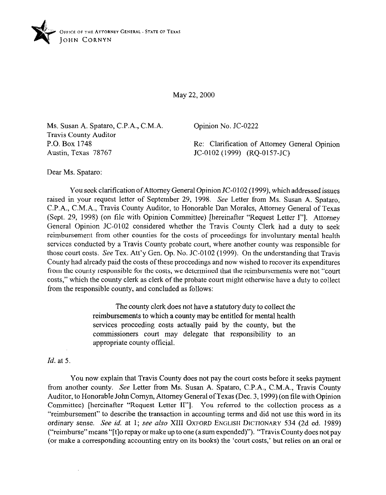

May 22, 2000

Ms. Susan A. Spataro, C.P.A., C.M.A Travis County Auditor P.O. Box 1748 Austin, Texas 78767

Opinion No. JC-0222

Re: Clarification of Attorney General Opinion JC-0102 (1999) (RQ-OlS7-JC)

Dear Ms. Spataro:

You seek clarification ofAttorney General Opinion JC-0102 (1999), which addressed issues raised in your request letter of September 29, 1998. See Letter from Ms. Susan A. Spataro, C.P.A., C.M.A., Travis County Auditor, to Honorable Dan Morales, Attorney General of Texas (Sept. 29, 1998) (on file with Opinion Committee) [hereinafter "Request Letter I"]. Attorney General Opinion JC-0102 considered whether the Travis County Clerk had a duty to seek reimbursement from other counties for the costs of proceedings for involuntary mental health services conducted by a Travis County probate court, where another county was responsible for those court costs. See Tex. Att'y Gen. Op. No. JC-0102 (1999). On the understanding that Travis County had already paid the costs of these proceedings and now wished to recover its expenditures from the county responsible for the costs, we determined that the reimbursements were not "court costs," which the county clerk as clerk of the probate court might otherwise have a duty to collect from the responsible county, and concluded as follows:

> The county clerk does not have a statutory duty to collect the reimbursements to which a county may be entitled for mental health services proceeding costs actually paid by the county, but the commissioners court may delegate that responsibility to an appropriate county official.

*Id.* at 5.

 $\cdot$ 

You now explain that Travis County does not pay the court costs before it seeks payment from another county. See Letter from Ms. Susan A. Spataro, C.P.A., C.M.A., Travis County Auditor, to Honorable John Cornyn, Attorney General of Texas (Dec. 3, 1999) (on file with Opinion Committee) [hereinafter "Request Letter II"]. You referred to the collection process as a "reimbursement" to describe the transaction in accounting terms and did not use this word in its ordinary sense. **See** *id.* at 1; **see also XIII OXFORD ENGLISH DICTIONARY 534 (2d ed. 1989)**  ("reimburse"means "[t]o repay or make up to one (a sum expended)"). "Travis County does not pay (or make a corresponding accounting entry on its books) the 'court costs,' but relies on an oral or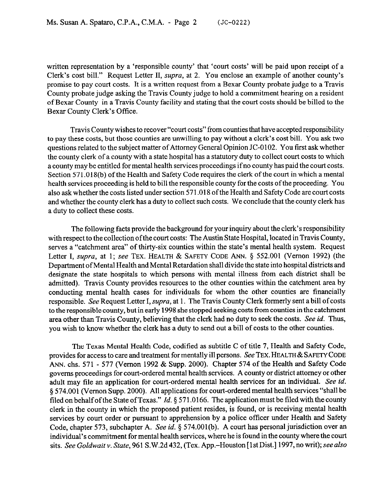written representation by a 'responsible county' that 'court costs' will be paid upon receipt of a Clerk's cost bill." Request Letter II, supra, at 2. You enclose an example of another county's promise to pay court costs. It is a written request from a Bexar County probate judge to a Travis County probate judge asking the Travis County judge to hold a commitment hearing on a resident of Bexar County in a Travis County facility and stating that the court costs should be billed to the Bexar County Clerk's Office.

Travis County wishes to recover "court costs" from counties that have accepted responsibility to pay these costs, but those counties are unwilling to pay without a clerk's cost bill. You ask two questions related to the subject matter of Attorney General Opinion JC-0102. You first ask whether the county clerk of a county with a state hospital has a statutory duty to collect court costs to which a county may be entitled for mental health services proceedings if no county has paid the court costs. Section 571.018(b) of the Health and Safety Code requires the clerk of the court in which a mental health services proceeding is held to bill the responsible county for the costs of the proceeding. You also ask whether the costs listed under section 571 .018 ofthe Health and Safety Code are court costs and whether the county clerk has a duty to collect such costs. We conclude that the county clerk has a duty to collect these costs.

The following facts provide the background for your inquiry about the clerk's responsibility with respect to the collection ofthe court costs: The Austin State Hospital, located in Travis County, serves a "catchment area" of thirty-six counties within the state's mental health system. Request Letter I, supra, at 1; see TEX. HEALTH & SAFETY CODE ANN. § 552.001 (Vernon 1992) (the Department of Mental Health and Mental Retardation shall divide the state into hospital districts and designate the state hospitals to which persons with mental illness from each district shall be admitted). Travis County provides resources to the other counties within the catchment area by conducting mental health cases for individuals for whom the other counties are financially responsible. See Request Letter I, supra, at 1. The Travis County Clerk formerly sent a bill of costs to the responsible county, but in early 1998 she stopped seeking costs from counties in the catchment area other than Travis County, believing that the clerk had no duty to seek the costs. See *id. Thus,*  you wish to know whether the clerk has a duty to send out a bill of costs to the other counties.

The Texas Mental Health Code, codified as subtitle C of title 7, Health and Safety Code, provides for access to care and treatment for mentally ill persons. See TEX. HEALTH & SAFETY CODE ANN. chs. 571 - 577 (Vernon 1992 & Supp. 2000). Chapter 574 of the Health and Safety Code governs proceedings for court-ordered mental health services. A county or district attorney or other adult may tile an application for court-ordered mental health services for an individual. See *id.*  9 574.001 (Vernon Supp. 2000). All applications for court-ordered mental health services "shall be filed on behalf of the State of Texas." *Id.* 5 571.0166. The application must be filed with the county clerk in the county in which the proposed patient resides, is found, or is receiving mental health services by court order or pursuant to apprehension by a police officer under Health and Safety Code, chapter 573, subchapter A. See *id.* 5 574.001(b). A court has personal jurisdiction over an individual's commitment for mental health services, where he is found in the county where the court sits. *See Goldwait* v. *State,* 961 S.W.2d 432, (Tex. App.-Houston [ 1st Dist.] 1997, no writ); see also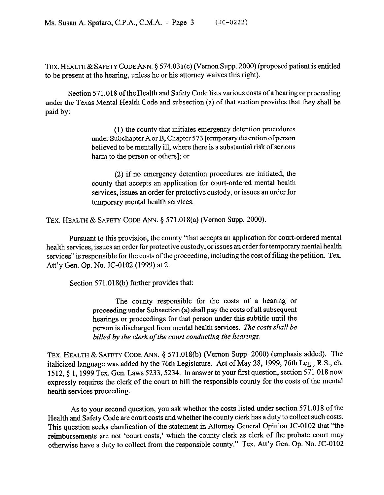TEX. HEALTH & SAFETY CODE ANN. § 574.031(c) (Vernon Supp. 2000) (proposed patient is entitled to be present at the hearing, unless he or his attorney waives this right).

Section 571 ,018 of the Health and Safety Code lists various costs of a hearing or proceeding under the Texas Mental Health Code and subsection (a) of that section provides that they shall be paid by:

> (1) the county that initiates emergency detention procedures under Subchapter A or B, Chapter 573 [temporary detention of person believed to be mentally ill, where there is a substantial risk of serious harm to the person or others]; or

> (2) if no emergency detention procedures are initiated, the county that accepts an application for court-ordered mental health services, issues an order for protective custody, or issues an order for temporary mental health services.

TEX. HEALTH & SAFETY CODE ANN. 5 571.018(a) (Vernon Supp. 2000).

Pursuant to this provision, the county "that accepts an application for court-ordered mental health services, issues an order for protective custody, or issues an order for temporary mental health services" is responsible for the costs of the proceeding, including the cost of filing the petition, Tex. Att'y Gen. Op. No. JC-0102 (1999) at 2.

Section 571.018(b) further provides that:

The county responsible for the costs of a hearing or proceeding under Subsection (a) shall pay the costs of all subsequent hearings or proceedings for that person under this subtitle until the person is discharged from mental health services. The *costs shall be billed by the clerk of the court conducting the hearings.* 

TEX. HEALTH & SAFETY CODE ANN. § 571.018(b) (Vernon Supp. 2000) (emphasis added). The italicized language was added by the 76th Legislature. Act of May 28, 1999, 76th Leg., R.S., ch. 1512, 4 1, 1999 Tex. Gen. Laws 5233,5234. In answer to your first question, section 571.018 now expressly requires the clerk of the court to bill the responsible county for the costs of the mental health services proceeding.

As to your second question, you ask whether the costs listed under section 571.018 of the Health and Safety Code are court costs and whether the county clerk has a duty to collect such costs. Health and Safety Code are court costs and whether the county clerk has a duty to collect such costs. This question seeks clarification of the statement in Attorney General Opinion JC-0102 that "the reimbursements are not 'court costs,' which the county clerk as clerk of the probate court may otherwise have a duty to collect from the responsible county." Tex. Att'y Gen. Op. No. JC-0102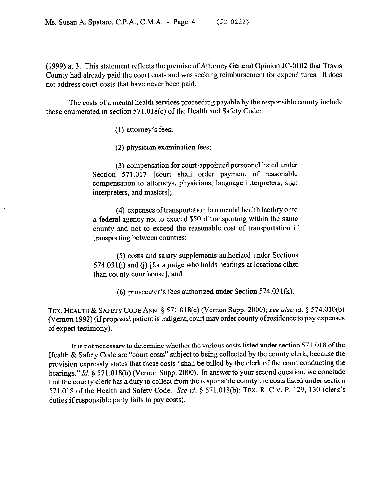(1999) at 3. This statement reflects the premise of Attorney General Opinion JC-0102 that Travis County had already paid the court costs and was seeking reimbursement for expenditures. It does not address court costs that have never been paid.

The costs of a mental health services proceeding payable by the responsible county include those enumerated in section 571.018(c) of the Health and Safety Code:

(1) attorney's fees;

(2) physician examination fees;

(3) compensation for court-appointed personnel listed under Section 571.017 [court shall order payment of reasonable compensation to attorneys, physicians, language interpreters, sign interpreters, and masters];

(4) expenses of transportation to a mental health facility or to a federal agency not to exceed \$50 if transporting within the same county and not to exceed the reasonable cost of transportation if transporting between counties;

(5) costs and salary supplements authorized under Sections  $574.031(i)$  and (j) [for a judge who holds hearings at locations other than county courthouse]; and

(6) prosecutor's fees authorized under Section 574.031(k).

TEX. HEALTH & SAFETY CODE ANN. \$571.018(c) (V emon Supp. 2000); see also *id. 5* 574.010(b) (Vernon 1992) (if proposed patient is indigent, court may order county of residence to pay expenses of expert testimony).

It is not necessary to determine whether the various costs listed under section 57 1 ,018 of the Health & Safety Code are "court costs" subject to being collected by the county clerk, because the provision expressly states that these costs "shall be billed by the clerk of the court conducting the hearings." *Id.* § 571.018(b) (Vernon Supp. 2000). In answer to your second question, we conclude that the county clerk has a duty to collect from the responsible county the costs listed under section 571.018 of the Health and Safety Code. See *id. 5* 571.018(b); TEX. R. CIV. P. 129, 130 (clerk's duties if responsible party fails to pay costs).